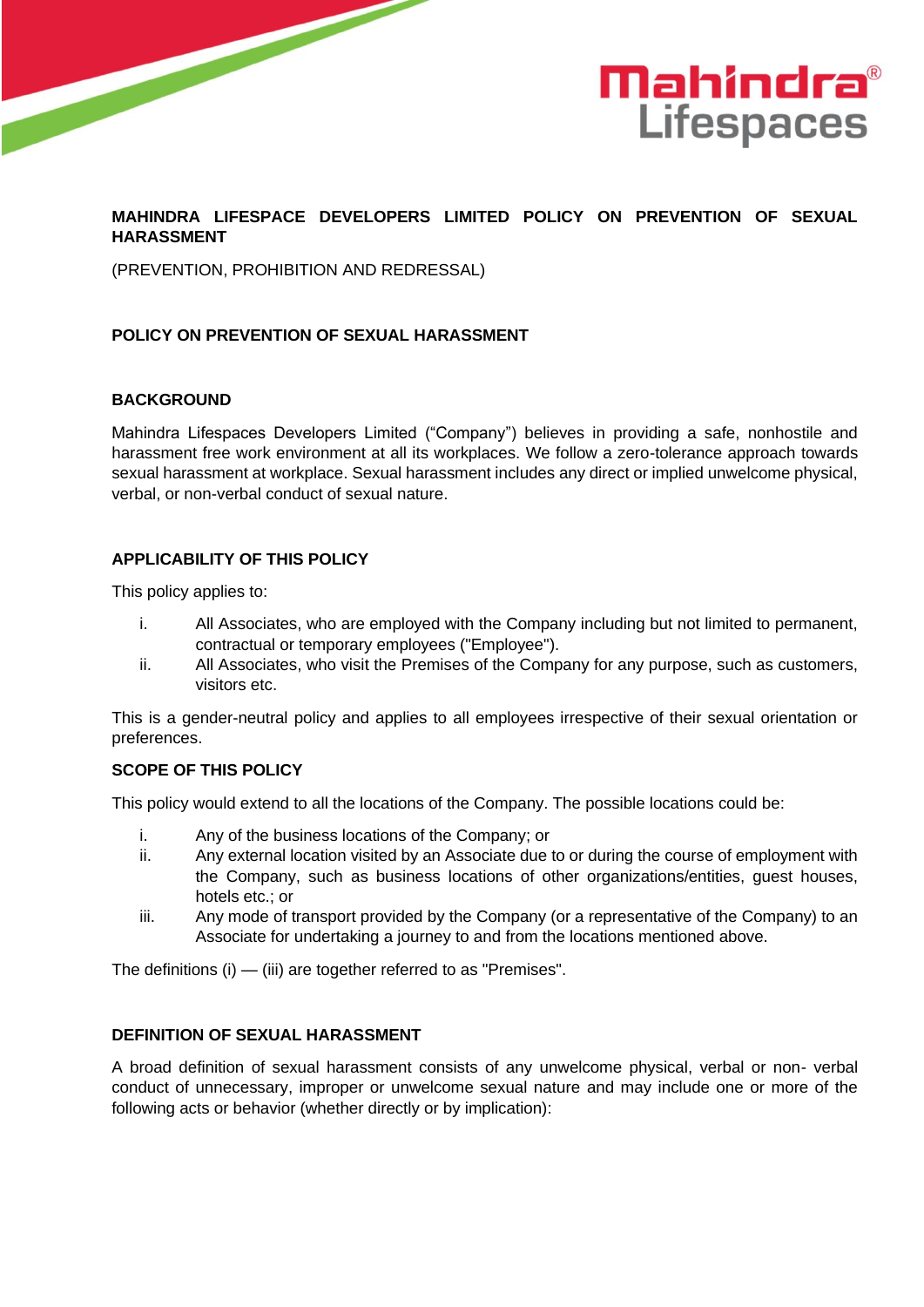



## **MAHINDRA LIFESPACE DEVELOPERS LIMITED POLICY ON PREVENTION OF SEXUAL HARASSMENT**

(PREVENTION, PROHIBITION AND REDRESSAL)

## **POLICY ON PREVENTION OF SEXUAL HARASSMENT**

### **BACKGROUND**

Mahindra Lifespaces Developers Limited ("Company") believes in providing a safe, nonhostile and harassment free work environment at all its workplaces. We follow a zero-tolerance approach towards sexual harassment at workplace. Sexual harassment includes any direct or implied unwelcome physical, verbal, or non-verbal conduct of sexual nature.

## **APPLICABILITY OF THIS POLICY**

This policy applies to:

- i. All Associates, who are employed with the Company including but not limited to permanent, contractual or temporary employees ("Employee").
- ii. All Associates, who visit the Premises of the Company for any purpose, such as customers, visitors etc.

This is a gender-neutral policy and applies to all employees irrespective of their sexual orientation or preferences.

### **SCOPE OF THIS POLICY**

This policy would extend to all the locations of the Company. The possible locations could be:

- i. Any of the business locations of the Company; or
- ii. Any external location visited by an Associate due to or during the course of employment with the Company, such as business locations of other organizations/entities, guest houses, hotels etc.; or
- iii. Any mode of transport provided by the Company (or a representative of the Company) to an Associate for undertaking a journey to and from the locations mentioned above.

The definitions (i) — (iii) are together referred to as "Premises".

## **DEFINITION OF SEXUAL HARASSMENT**

A broad definition of sexual harassment consists of any unwelcome physical, verbal or non- verbal conduct of unnecessary, improper or unwelcome sexual nature and may include one or more of the following acts or behavior (whether directly or by implication):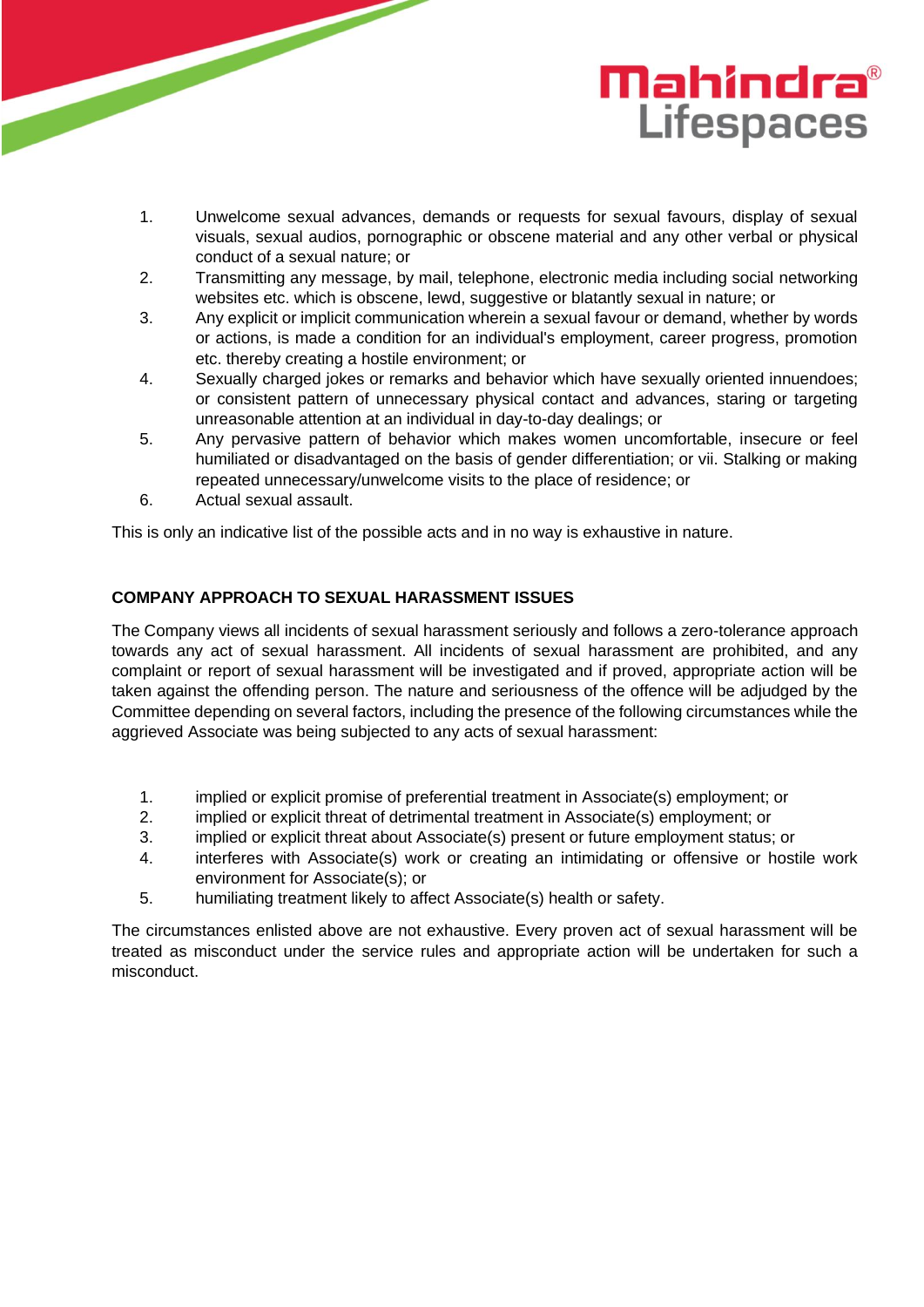# **Mahindra**® **Lifespaces**

- 1. Unwelcome sexual advances, demands or requests for sexual favours, display of sexual visuals, sexual audios, pornographic or obscene material and any other verbal or physical conduct of a sexual nature; or
- 2. Transmitting any message, by mail, telephone, electronic media including social networking websites etc. which is obscene, lewd, suggestive or blatantly sexual in nature; or
- 3. Any explicit or implicit communication wherein a sexual favour or demand, whether by words or actions, is made a condition for an individual's employment, career progress, promotion etc. thereby creating a hostile environment; or
- 4. Sexually charged jokes or remarks and behavior which have sexually oriented innuendoes; or consistent pattern of unnecessary physical contact and advances, staring or targeting unreasonable attention at an individual in day-to-day dealings; or
- 5. Any pervasive pattern of behavior which makes women uncomfortable, insecure or feel humiliated or disadvantaged on the basis of gender differentiation; or vii. Stalking or making repeated unnecessary/unwelcome visits to the place of residence; or
- 6. Actual sexual assault.

This is only an indicative list of the possible acts and in no way is exhaustive in nature.

# **COMPANY APPROACH TO SEXUAL HARASSMENT ISSUES**

The Company views all incidents of sexual harassment seriously and follows a zero-tolerance approach towards any act of sexual harassment. All incidents of sexual harassment are prohibited, and any complaint or report of sexual harassment will be investigated and if proved, appropriate action will be taken against the offending person. The nature and seriousness of the offence will be adjudged by the Committee depending on several factors, including the presence of the following circumstances while the aggrieved Associate was being subjected to any acts of sexual harassment:

- 1. implied or explicit promise of preferential treatment in Associate(s) employment; or
- 2. implied or explicit threat of detrimental treatment in Associate(s) employment; or
- 3. implied or explicit threat about Associate(s) present or future employment status; or
- 4. interferes with Associate(s) work or creating an intimidating or offensive or hostile work environment for Associate(s); or
- 5. humiliating treatment likely to affect Associate(s) health or safety.

The circumstances enlisted above are not exhaustive. Every proven act of sexual harassment will be treated as misconduct under the service rules and appropriate action will be undertaken for such a misconduct.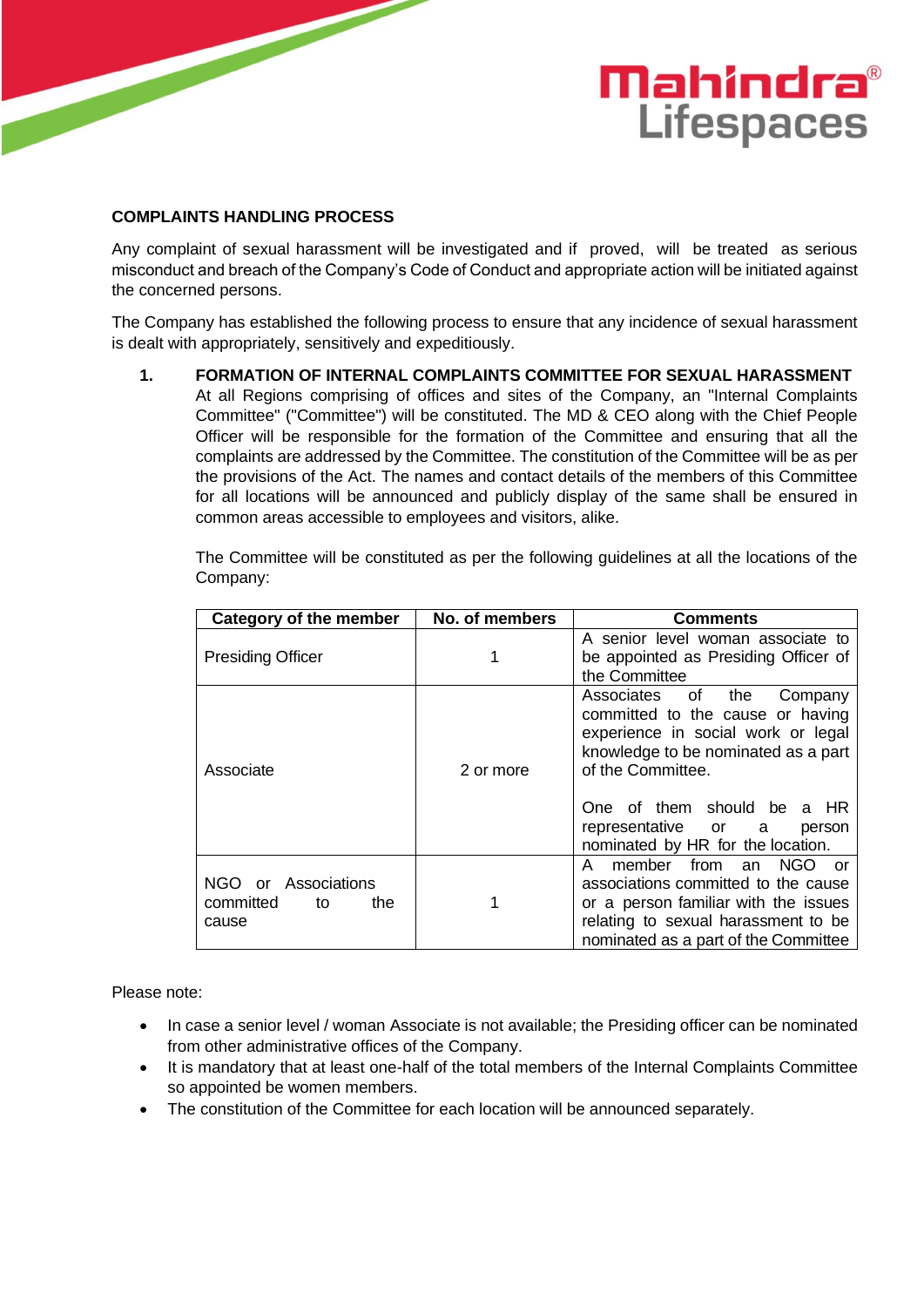# 

# **COMPLAINTS HANDLING PROCESS**

Any complaint of sexual harassment will be investigated and if proved, will be treated as serious misconduct and breach of the Company's Code of Conduct and appropriate action will be initiated against the concerned persons.

**Mahindra**®

**Lifespaces** 

The Company has established the following process to ensure that any incidence of sexual harassment is dealt with appropriately, sensitively and expeditiously.

**1. FORMATION OF INTERNAL COMPLAINTS COMMITTEE FOR SEXUAL HARASSMENT** At all Regions comprising of offices and sites of the Company, an "Internal Complaints Committee" ("Committee") will be constituted. The MD & CEO along with the Chief People Officer will be responsible for the formation of the Committee and ensuring that all the complaints are addressed by the Committee. The constitution of the Committee will be as per the provisions of the Act. The names and contact details of the members of this Committee for all locations will be announced and publicly display of the same shall be ensured in common areas accessible to employees and visitors, alike.

The Committee will be constituted as per the following guidelines at all the locations of the Company:

| <b>Category of the member</b>                          | No. of members | <b>Comments</b>                                                                                                                                                                                                                                                        |
|--------------------------------------------------------|----------------|------------------------------------------------------------------------------------------------------------------------------------------------------------------------------------------------------------------------------------------------------------------------|
| <b>Presiding Officer</b>                               |                | A senior level woman associate to<br>be appointed as Presiding Officer of<br>the Committee                                                                                                                                                                             |
| Associate                                              | 2 or more      | Associates of the<br>Company<br>committed to the cause or having<br>experience in social work or legal<br>knowledge to be nominated as a part<br>of the Committee.<br>One of them should be a HR<br>representative or a<br>person<br>nominated by HR for the location. |
| NGO or Associations<br>committed<br>the<br>to<br>cause |                | member from an<br>NGO.<br>A<br>or<br>associations committed to the cause<br>or a person familiar with the issues<br>relating to sexual harassment to be<br>nominated as a part of the Committee                                                                        |

Please note:

- In case a senior level / woman Associate is not available; the Presiding officer can be nominated from other administrative offices of the Company.
- It is mandatory that at least one-half of the total members of the Internal Complaints Committee so appointed be women members.
- The constitution of the Committee for each location will be announced separately.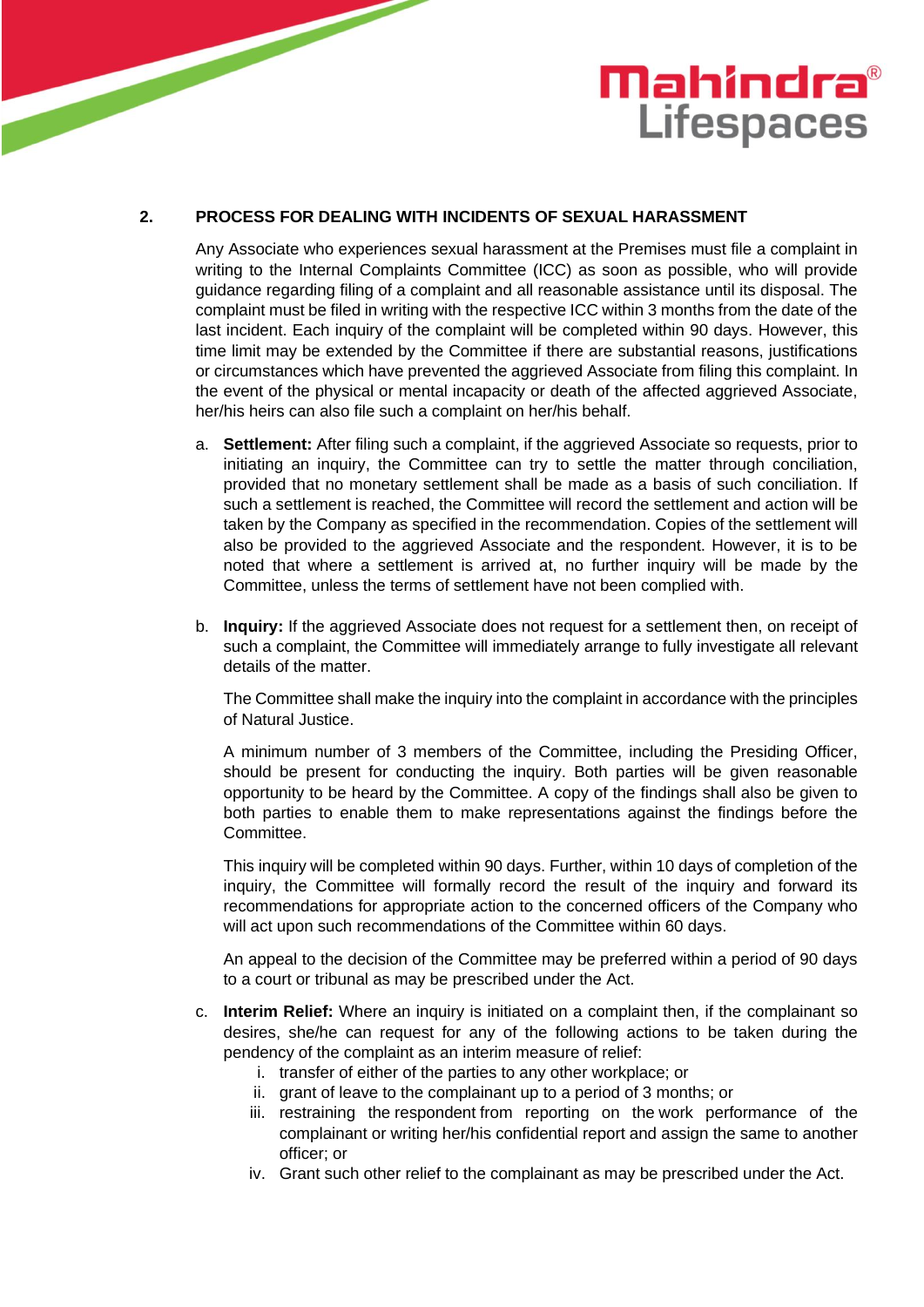

## **2. PROCESS FOR DEALING WITH INCIDENTS OF SEXUAL HARASSMENT**

Any Associate who experiences sexual harassment at the Premises must file a complaint in writing to the Internal Complaints Committee (ICC) as soon as possible, who will provide guidance regarding filing of a complaint and all reasonable assistance until its disposal. The complaint must be filed in writing with the respective ICC within 3 months from the date of the last incident. Each inquiry of the complaint will be completed within 90 days. However, this time limit may be extended by the Committee if there are substantial reasons, justifications or circumstances which have prevented the aggrieved Associate from filing this complaint. In the event of the physical or mental incapacity or death of the affected aggrieved Associate, her/his heirs can also file such a complaint on her/his behalf.

- a. **Settlement:** After filing such a complaint, if the aggrieved Associate so requests, prior to initiating an inquiry, the Committee can try to settle the matter through conciliation, provided that no monetary settlement shall be made as a basis of such conciliation. If such a settlement is reached, the Committee will record the settlement and action will be taken by the Company as specified in the recommendation. Copies of the settlement will also be provided to the aggrieved Associate and the respondent. However, it is to be noted that where a settlement is arrived at, no further inquiry will be made by the Committee, unless the terms of settlement have not been complied with.
- b. **Inquiry:** If the aggrieved Associate does not request for a settlement then, on receipt of such a complaint, the Committee will immediately arrange to fully investigate all relevant details of the matter.

The Committee shall make the inquiry into the complaint in accordance with the principles of Natural Justice.

A minimum number of 3 members of the Committee, including the Presiding Officer, should be present for conducting the inquiry. Both parties will be given reasonable opportunity to be heard by the Committee. A copy of the findings shall also be given to both parties to enable them to make representations against the findings before the Committee.

This inquiry will be completed within 90 days. Further, within 10 days of completion of the inquiry, the Committee will formally record the result of the inquiry and forward its recommendations for appropriate action to the concerned officers of the Company who will act upon such recommendations of the Committee within 60 days.

An appeal to the decision of the Committee may be preferred within a period of 90 days to a court or tribunal as may be prescribed under the Act.

- c. **Interim Relief:** Where an inquiry is initiated on a complaint then, if the complainant so desires, she/he can request for any of the following actions to be taken during the pendency of the complaint as an interim measure of relief:
	- i. transfer of either of the parties to any other workplace; or
	- ii. grant of leave to the complainant up to a period of 3 months; or
	- iii. restraining the respondent from reporting on the work performance of the complainant or writing her/his confidential report and assign the same to another officer; or
	- iv. Grant such other relief to the complainant as may be prescribed under the Act.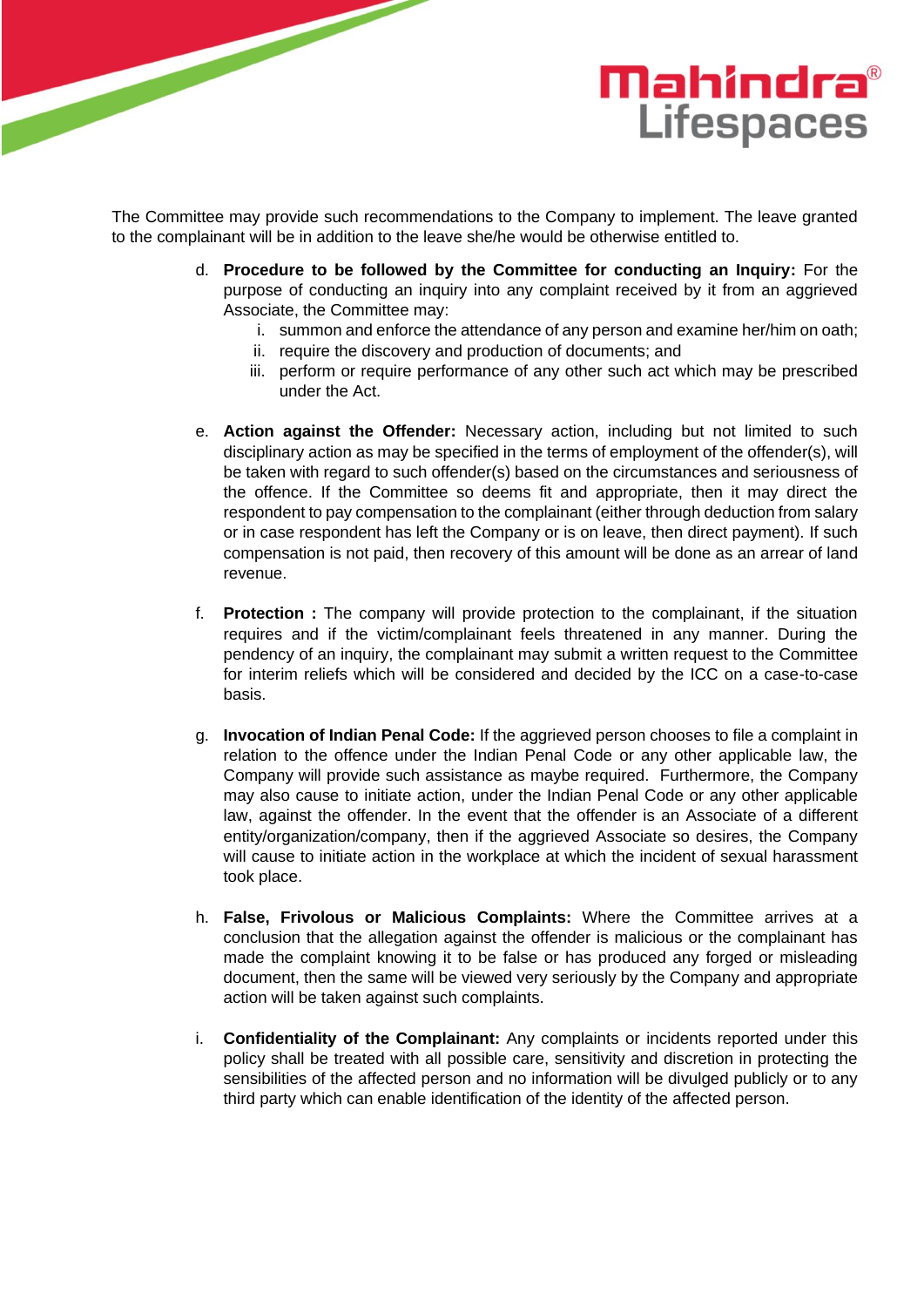

The Committee may provide such recommendations to the Company to implement. The leave granted to the complainant will be in addition to the leave she/he would be otherwise entitled to.

- d. **Procedure to be followed by the Committee for conducting an Inquiry:** For the purpose of conducting an inquiry into any complaint received by it from an aggrieved Associate, the Committee may:
	- i. summon and enforce the attendance of any person and examine her/him on oath;
	- ii. require the discovery and production of documents; and
	- iii. perform or require performance of any other such act which may be prescribed under the Act.
- e. **Action against the Offender:** Necessary action, including but not limited to such disciplinary action as may be specified in the terms of employment of the offender(s), will be taken with regard to such offender(s) based on the circumstances and seriousness of the offence. If the Committee so deems fit and appropriate, then it may direct the respondent to pay compensation to the complainant (either through deduction from salary or in case respondent has left the Company or is on leave, then direct payment). If such compensation is not paid, then recovery of this amount will be done as an arrear of land revenue.
- f. **Protection :** The company will provide protection to the complainant, if the situation requires and if the victim/complainant feels threatened in any manner. During the pendency of an inquiry, the complainant may submit a written request to the Committee for interim reliefs which will be considered and decided by the ICC on a case-to-case basis.
- g. **Invocation of Indian Penal Code:** If the aggrieved person chooses to file a complaint in relation to the offence under the Indian Penal Code or any other applicable law, the Company will provide such assistance as maybe required. Furthermore, the Company may also cause to initiate action, under the Indian Penal Code or any other applicable law, against the offender. In the event that the offender is an Associate of a different entity/organization/company, then if the aggrieved Associate so desires, the Company will cause to initiate action in the workplace at which the incident of sexual harassment took place.
- h. **False, Frivolous or Malicious Complaints:** Where the Committee arrives at a conclusion that the allegation against the offender is malicious or the complainant has made the complaint knowing it to be false or has produced any forged or misleading document, then the same will be viewed very seriously by the Company and appropriate action will be taken against such complaints.
- i. **Confidentiality of the Complainant:** Any complaints or incidents reported under this policy shall be treated with all possible care, sensitivity and discretion in protecting the sensibilities of the affected person and no information will be divulged publicly or to any third party which can enable identification of the identity of the affected person.